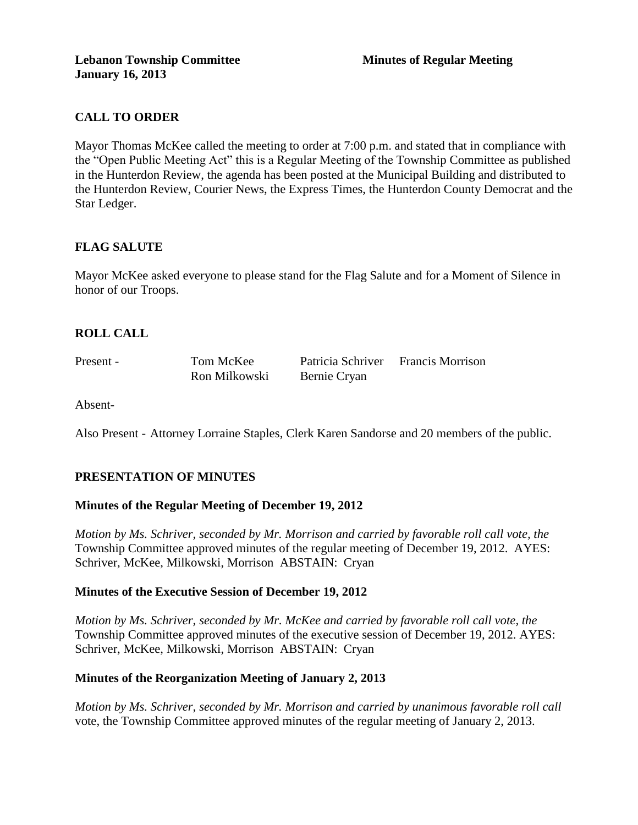# **CALL TO ORDER**

Mayor Thomas McKee called the meeting to order at 7:00 p.m. and stated that in compliance with the "Open Public Meeting Act" this is a Regular Meeting of the Township Committee as published in the Hunterdon Review, the agenda has been posted at the Municipal Building and distributed to the Hunterdon Review, Courier News, the Express Times, the Hunterdon County Democrat and the Star Ledger.

# **FLAG SALUTE**

Mayor McKee asked everyone to please stand for the Flag Salute and for a Moment of Silence in honor of our Troops.

# **ROLL CALL**

Present - Tom McKee Patricia Schriver Francis Morrison Ron Milkowski Bernie Cryan

Absent-

Also Present - Attorney Lorraine Staples, Clerk Karen Sandorse and 20 members of the public.

# **PRESENTATION OF MINUTES**

# **Minutes of the Regular Meeting of December 19, 2012**

*Motion by Ms. Schriver, seconded by Mr. Morrison and carried by favorable roll call vote, the* Township Committee approved minutes of the regular meeting of December 19, 2012. AYES: Schriver, McKee, Milkowski, Morrison ABSTAIN: Cryan

# **Minutes of the Executive Session of December 19, 2012**

*Motion by Ms. Schriver, seconded by Mr. McKee and carried by favorable roll call vote, the* Township Committee approved minutes of the executive session of December 19, 2012. AYES: Schriver, McKee, Milkowski, Morrison ABSTAIN: Cryan

# **Minutes of the Reorganization Meeting of January 2, 2013**

*Motion by Ms. Schriver, seconded by Mr. Morrison and carried by unanimous favorable roll call*  vote, the Township Committee approved minutes of the regular meeting of January 2, 2013.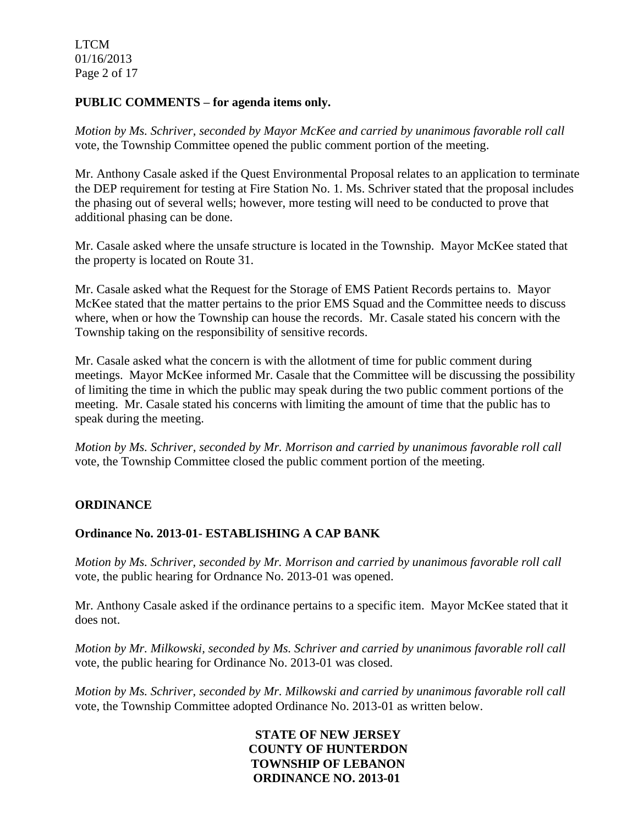LTCM 01/16/2013 Page 2 of 17

### **PUBLIC COMMENTS – for agenda items only.**

*Motion by Ms. Schriver, seconded by Mayor McKee and carried by unanimous favorable roll call*  vote*,* the Township Committee opened the public comment portion of the meeting.

Mr. Anthony Casale asked if the Quest Environmental Proposal relates to an application to terminate the DEP requirement for testing at Fire Station No. 1. Ms. Schriver stated that the proposal includes the phasing out of several wells; however, more testing will need to be conducted to prove that additional phasing can be done.

Mr. Casale asked where the unsafe structure is located in the Township. Mayor McKee stated that the property is located on Route 31.

Mr. Casale asked what the Request for the Storage of EMS Patient Records pertains to. Mayor McKee stated that the matter pertains to the prior EMS Squad and the Committee needs to discuss where, when or how the Township can house the records. Mr. Casale stated his concern with the Township taking on the responsibility of sensitive records.

Mr. Casale asked what the concern is with the allotment of time for public comment during meetings. Mayor McKee informed Mr. Casale that the Committee will be discussing the possibility of limiting the time in which the public may speak during the two public comment portions of the meeting. Mr. Casale stated his concerns with limiting the amount of time that the public has to speak during the meeting.

*Motion by Ms. Schriver, seconded by Mr. Morrison and carried by unanimous favorable roll call*  vote*,* the Township Committee closed the public comment portion of the meeting.

### **ORDINANCE**

### **Ordinance No. 2013-01- ESTABLISHING A CAP BANK**

*Motion by Ms. Schriver, seconded by Mr. Morrison and carried by unanimous favorable roll call*  vote*,* the public hearing for Ordnance No. 2013-01 was opened.

Mr. Anthony Casale asked if the ordinance pertains to a specific item. Mayor McKee stated that it does not.

*Motion by Mr. Milkowski, seconded by Ms. Schriver and carried by unanimous favorable roll call*  vote, the public hearing for Ordinance No. 2013-01 was closed.

*Motion by Ms. Schriver, seconded by Mr. Milkowski and carried by unanimous favorable roll call*  vote, the Township Committee adopted Ordinance No. 2013-01 as written below.

> **STATE OF NEW JERSEY COUNTY OF HUNTERDON TOWNSHIP OF LEBANON ORDINANCE NO. 2013-01**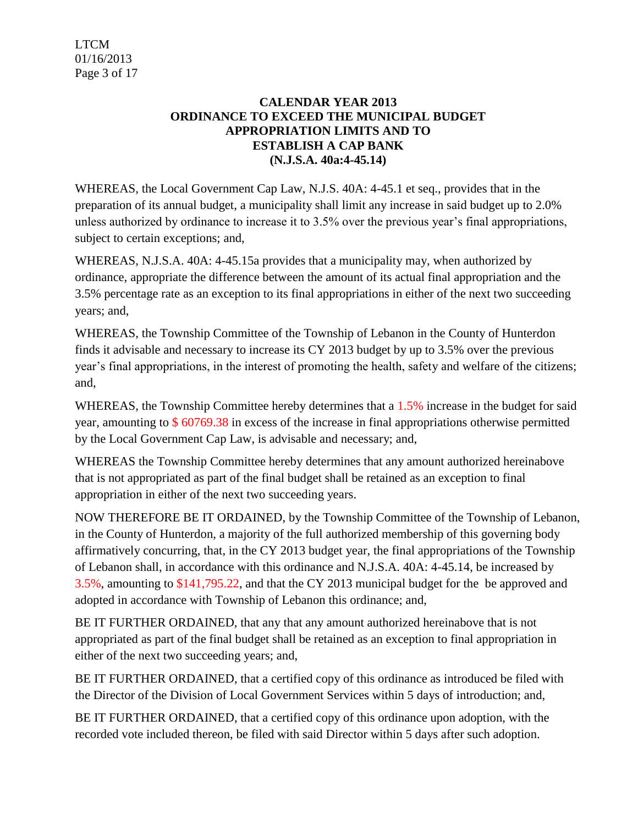LTCM 01/16/2013 Page 3 of 17

## **CALENDAR YEAR 2013 ORDINANCE TO EXCEED THE MUNICIPAL BUDGET APPROPRIATION LIMITS AND TO ESTABLISH A CAP BANK (N.J.S.A. 40a:4-45.14)**

WHEREAS, the Local Government Cap Law, N.J.S. 40A: 4-45.1 et seq., provides that in the preparation of its annual budget, a municipality shall limit any increase in said budget up to 2.0% unless authorized by ordinance to increase it to 3.5% over the previous year's final appropriations, subject to certain exceptions; and,

WHEREAS, N.J.S.A. 40A: 4-45.15a provides that a municipality may, when authorized by ordinance, appropriate the difference between the amount of its actual final appropriation and the 3.5% percentage rate as an exception to its final appropriations in either of the next two succeeding years; and,

WHEREAS, the Township Committee of the Township of Lebanon in the County of Hunterdon finds it advisable and necessary to increase its CY 2013 budget by up to 3.5% over the previous year's final appropriations, in the interest of promoting the health, safety and welfare of the citizens; and,

WHEREAS, the Township Committee hereby determines that a 1.5% increase in the budget for said year, amounting to \$ 60769.38 in excess of the increase in final appropriations otherwise permitted by the Local Government Cap Law, is advisable and necessary; and,

WHEREAS the Township Committee hereby determines that any amount authorized hereinabove that is not appropriated as part of the final budget shall be retained as an exception to final appropriation in either of the next two succeeding years.

NOW THEREFORE BE IT ORDAINED, by the Township Committee of the Township of Lebanon, in the County of Hunterdon, a majority of the full authorized membership of this governing body affirmatively concurring, that, in the CY 2013 budget year, the final appropriations of the Township of Lebanon shall, in accordance with this ordinance and N.J.S.A. 40A: 4-45.14, be increased by 3.5%, amounting to \$141,795.22, and that the CY 2013 municipal budget for the be approved and adopted in accordance with Township of Lebanon this ordinance; and,

BE IT FURTHER ORDAINED, that any that any amount authorized hereinabove that is not appropriated as part of the final budget shall be retained as an exception to final appropriation in either of the next two succeeding years; and,

BE IT FURTHER ORDAINED, that a certified copy of this ordinance as introduced be filed with the Director of the Division of Local Government Services within 5 days of introduction; and,

BE IT FURTHER ORDAINED, that a certified copy of this ordinance upon adoption, with the recorded vote included thereon, be filed with said Director within 5 days after such adoption.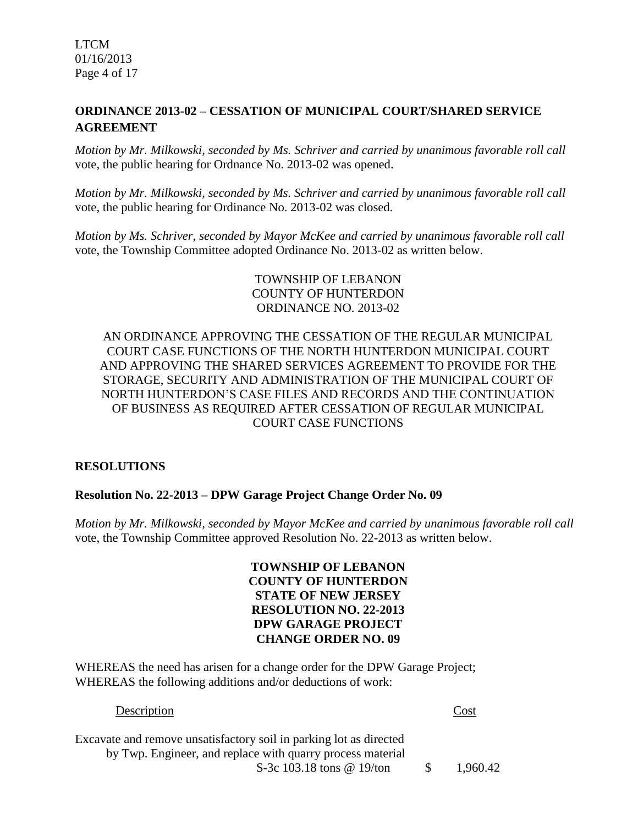LTCM 01/16/2013 Page 4 of 17

# **ORDINANCE 2013-02 – CESSATION OF MUNICIPAL COURT/SHARED SERVICE AGREEMENT**

*Motion by Mr. Milkowski, seconded by Ms. Schriver and carried by unanimous favorable roll call*  vote*,* the public hearing for Ordnance No. 2013-02 was opened.

*Motion by Mr. Milkowski, seconded by Ms. Schriver and carried by unanimous favorable roll call*  vote, the public hearing for Ordinance No. 2013-02 was closed.

*Motion by Ms. Schriver, seconded by Mayor McKee and carried by unanimous favorable roll call*  vote, the Township Committee adopted Ordinance No. 2013-02 as written below.

# TOWNSHIP OF LEBANON COUNTY OF HUNTERDON ORDINANCE NO. 2013-02

# AN ORDINANCE APPROVING THE CESSATION OF THE REGULAR MUNICIPAL COURT CASE FUNCTIONS OF THE NORTH HUNTERDON MUNICIPAL COURT AND APPROVING THE SHARED SERVICES AGREEMENT TO PROVIDE FOR THE STORAGE, SECURITY AND ADMINISTRATION OF THE MUNICIPAL COURT OF NORTH HUNTERDON'S CASE FILES AND RECORDS AND THE CONTINUATION OF BUSINESS AS REQUIRED AFTER CESSATION OF REGULAR MUNICIPAL COURT CASE FUNCTIONS

# **RESOLUTIONS**

### **Resolution No. 22-2013 – DPW Garage Project Change Order No. 09**

*Motion by Mr. Milkowski, seconded by Mayor McKee and carried by unanimous favorable roll call*  vote, the Township Committee approved Resolution No. 22-2013 as written below.

> **TOWNSHIP OF LEBANON COUNTY OF HUNTERDON STATE OF NEW JERSEY RESOLUTION NO. 22-2013 DPW GARAGE PROJECT CHANGE ORDER NO. 09**

WHEREAS the need has arisen for a change order for the DPW Garage Project; WHEREAS the following additions and/or deductions of work:

### Description Cost

Excavate and remove unsatisfactory soil in parking lot as directed by Twp. Engineer, and replace with quarry process material S-3c 103.18 tons @ 19/ton \$ 1,960.42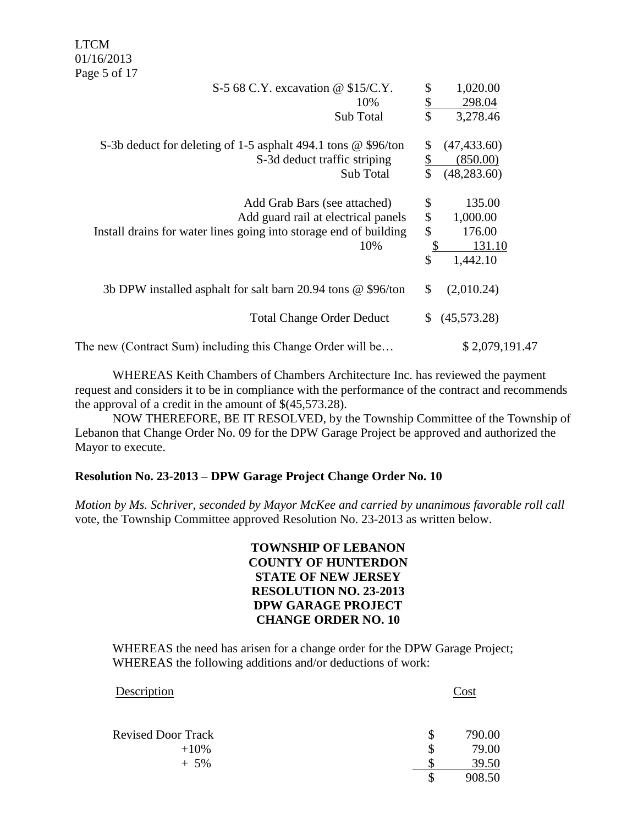LTCM 01/16/2013 Page 5 of 17

| S-5 68 C.Y. excavation $\omega$ \$15/C.Y.                         | \$<br>1,020.00          |
|-------------------------------------------------------------------|-------------------------|
| 10%                                                               | \$<br>298.04            |
| Sub Total                                                         | \$<br>3,278.46          |
| S-3b deduct for deleting of 1-5 asphalt 494.1 tons @ \$96/ton     | (47, 433.60)<br>\$      |
| S-3d deduct traffic striping                                      | <u>\$</u><br>(850.00)   |
| Sub Total                                                         | \$<br>(48, 283.60)      |
| Add Grab Bars (see attached)                                      | \$<br>135.00            |
| Add guard rail at electrical panels                               | \$<br>1,000.00          |
| Install drains for water lines going into storage end of building | $\mathcal{S}$<br>176.00 |
| 10%                                                               | $\frac{1}{2}$<br>131.10 |
|                                                                   | \$<br>1,442.10          |
| 3b DPW installed asphalt for salt barn 20.94 tons @ \$96/ton      | \$<br>(2,010.24)        |
| <b>Total Change Order Deduct</b>                                  | (45,573.28)<br>S.       |
| The new (Contract Sum) including this Change Order will be        | \$2,079,191.47          |

WHEREAS Keith Chambers of Chambers Architecture Inc. has reviewed the payment request and considers it to be in compliance with the performance of the contract and recommends the approval of a credit in the amount of \$(45,573.28).

NOW THEREFORE, BE IT RESOLVED, by the Township Committee of the Township of Lebanon that Change Order No. 09 for the DPW Garage Project be approved and authorized the Mayor to execute.

### **Resolution No. 23-2013 – DPW Garage Project Change Order No. 10**

*Motion by Ms. Schriver, seconded by Mayor McKee and carried by unanimous favorable roll call*  vote, the Township Committee approved Resolution No. 23-2013 as written below.

# **TOWNSHIP OF LEBANON COUNTY OF HUNTERDON STATE OF NEW JERSEY RESOLUTION NO. 23-2013 DPW GARAGE PROJECT CHANGE ORDER NO. 10**

WHEREAS the need has arisen for a change order for the DPW Garage Project; WHEREAS the following additions and/or deductions of work:

| Description               | Cost         |
|---------------------------|--------------|
| <b>Revised Door Track</b> | \$<br>790.00 |
| $+10%$                    | 79.00        |
| $+5\%$                    | 39.50        |
|                           | 908.50       |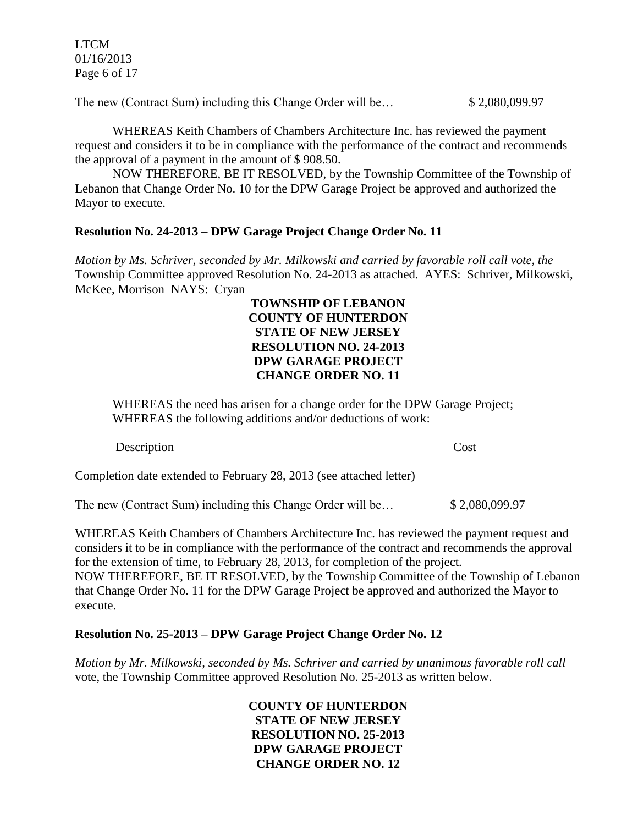LTCM 01/16/2013 Page 6 of 17

The new (Contract Sum) including this Change Order will be…  $$2,080,099.97$ 

WHEREAS Keith Chambers of Chambers Architecture Inc. has reviewed the payment request and considers it to be in compliance with the performance of the contract and recommends the approval of a payment in the amount of \$ 908.50.

NOW THEREFORE, BE IT RESOLVED, by the Township Committee of the Township of Lebanon that Change Order No. 10 for the DPW Garage Project be approved and authorized the Mayor to execute.

## **Resolution No. 24-2013 – DPW Garage Project Change Order No. 11**

*Motion by Ms. Schriver, seconded by Mr. Milkowski and carried by favorable roll call vote, the* Township Committee approved Resolution No. 24-2013 as attached. AYES: Schriver, Milkowski, McKee, Morrison NAYS: Cryan

## **TOWNSHIP OF LEBANON COUNTY OF HUNTERDON STATE OF NEW JERSEY RESOLUTION NO. 24-2013 DPW GARAGE PROJECT CHANGE ORDER NO. 11**

WHEREAS the need has arisen for a change order for the DPW Garage Project; WHEREAS the following additions and/or deductions of work:

### Description Cost

Completion date extended to February 28, 2013 (see attached letter)

The new (Contract Sum) including this Change Order will be… \$ 2,080,099.97

WHEREAS Keith Chambers of Chambers Architecture Inc. has reviewed the payment request and considers it to be in compliance with the performance of the contract and recommends the approval for the extension of time, to February 28, 2013, for completion of the project.

NOW THEREFORE, BE IT RESOLVED, by the Township Committee of the Township of Lebanon that Change Order No. 11 for the DPW Garage Project be approved and authorized the Mayor to execute.

# **Resolution No. 25-2013 – DPW Garage Project Change Order No. 12**

*Motion by Mr. Milkowski, seconded by Ms. Schriver and carried by unanimous favorable roll call*  vote, the Township Committee approved Resolution No. 25-2013 as written below.

# **COUNTY OF HUNTERDON STATE OF NEW JERSEY RESOLUTION NO. 25-2013 DPW GARAGE PROJECT CHANGE ORDER NO. 12**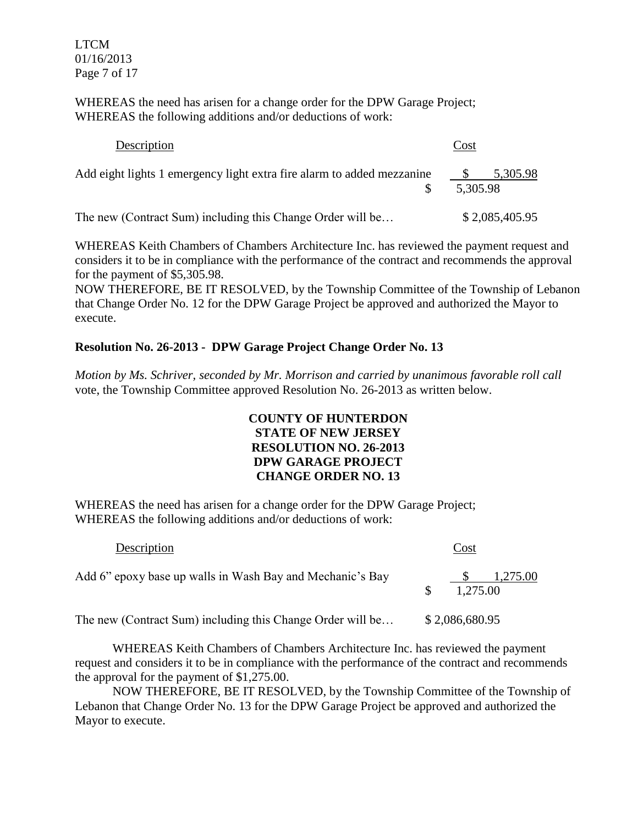LTCM 01/16/2013 Page 7 of 17

WHEREAS the need has arisen for a change order for the DPW Garage Project; WHEREAS the following additions and/or deductions of work:

| Description                                                            | Cost                 |
|------------------------------------------------------------------------|----------------------|
| Add eight lights 1 emergency light extra fire alarm to added mezzanine | 5,305.98<br>5,305.98 |
| The new (Contract Sum) including this Change Order will be             | \$2,085,405.95       |

WHEREAS Keith Chambers of Chambers Architecture Inc. has reviewed the payment request and considers it to be in compliance with the performance of the contract and recommends the approval for the payment of \$5,305.98.

NOW THEREFORE, BE IT RESOLVED, by the Township Committee of the Township of Lebanon that Change Order No. 12 for the DPW Garage Project be approved and authorized the Mayor to execute.

# **Resolution No. 26-2013 - DPW Garage Project Change Order No. 13**

*Motion by Ms. Schriver, seconded by Mr. Morrison and carried by unanimous favorable roll call*  vote, the Township Committee approved Resolution No. 26-2013 as written below.

# **COUNTY OF HUNTERDON STATE OF NEW JERSEY RESOLUTION NO. 26-2013 DPW GARAGE PROJECT CHANGE ORDER NO. 13**

WHEREAS the need has arisen for a change order for the DPW Garage Project; WHEREAS the following additions and/or deductions of work:

| Description                                                | Cost                 |
|------------------------------------------------------------|----------------------|
| Add 6" epoxy base up walls in Wash Bay and Mechanic's Bay  | 1,275.00<br>1.275.00 |
| The new (Contract Sum) including this Change Order will be | \$2,086,680.95       |

WHEREAS Keith Chambers of Chambers Architecture Inc. has reviewed the payment request and considers it to be in compliance with the performance of the contract and recommends the approval for the payment of \$1,275.00.

NOW THEREFORE, BE IT RESOLVED, by the Township Committee of the Township of Lebanon that Change Order No. 13 for the DPW Garage Project be approved and authorized the Mayor to execute.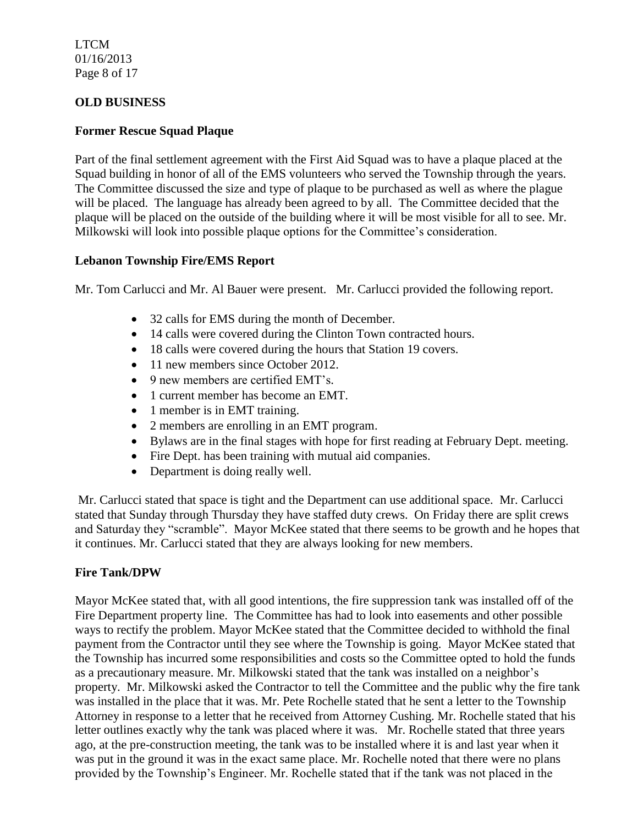LTCM 01/16/2013 Page 8 of 17

## **OLD BUSINESS**

### **Former Rescue Squad Plaque**

Part of the final settlement agreement with the First Aid Squad was to have a plaque placed at the Squad building in honor of all of the EMS volunteers who served the Township through the years. The Committee discussed the size and type of plaque to be purchased as well as where the plague will be placed. The language has already been agreed to by all. The Committee decided that the plaque will be placed on the outside of the building where it will be most visible for all to see. Mr. Milkowski will look into possible plaque options for the Committee's consideration.

## **Lebanon Township Fire/EMS Report**

Mr. Tom Carlucci and Mr. Al Bauer were present. Mr. Carlucci provided the following report.

- 32 calls for EMS during the month of December.
- 14 calls were covered during the Clinton Town contracted hours.
- 18 calls were covered during the hours that Station 19 covers.
- 11 new members since October 2012.
- 9 new members are certified EMT's.
- 1 current member has become an EMT.
- 1 member is in EMT training.
- 2 members are enrolling in an EMT program.
- Bylaws are in the final stages with hope for first reading at February Dept. meeting.
- Fire Dept. has been training with mutual aid companies.
- Department is doing really well.

Mr. Carlucci stated that space is tight and the Department can use additional space. Mr. Carlucci stated that Sunday through Thursday they have staffed duty crews. On Friday there are split crews and Saturday they "scramble". Mayor McKee stated that there seems to be growth and he hopes that it continues. Mr. Carlucci stated that they are always looking for new members.

# **Fire Tank/DPW**

Mayor McKee stated that, with all good intentions, the fire suppression tank was installed off of the Fire Department property line. The Committee has had to look into easements and other possible ways to rectify the problem. Mayor McKee stated that the Committee decided to withhold the final payment from the Contractor until they see where the Township is going. Mayor McKee stated that the Township has incurred some responsibilities and costs so the Committee opted to hold the funds as a precautionary measure. Mr. Milkowski stated that the tank was installed on a neighbor's property. Mr. Milkowski asked the Contractor to tell the Committee and the public why the fire tank was installed in the place that it was. Mr. Pete Rochelle stated that he sent a letter to the Township Attorney in response to a letter that he received from Attorney Cushing. Mr. Rochelle stated that his letter outlines exactly why the tank was placed where it was. Mr. Rochelle stated that three years ago, at the pre-construction meeting, the tank was to be installed where it is and last year when it was put in the ground it was in the exact same place. Mr. Rochelle noted that there were no plans provided by the Township's Engineer. Mr. Rochelle stated that if the tank was not placed in the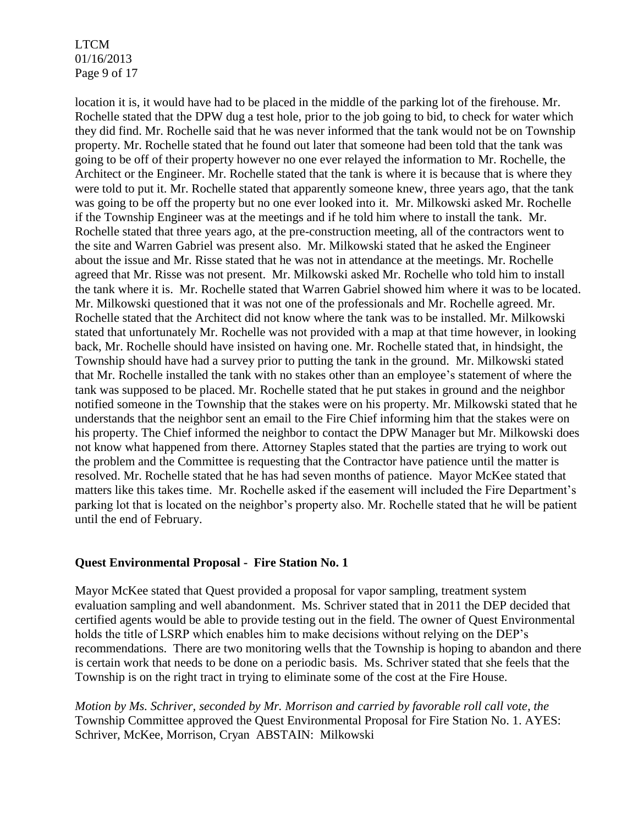LTCM 01/16/2013 Page 9 of 17

location it is, it would have had to be placed in the middle of the parking lot of the firehouse. Mr. Rochelle stated that the DPW dug a test hole, prior to the job going to bid, to check for water which they did find. Mr. Rochelle said that he was never informed that the tank would not be on Township property. Mr. Rochelle stated that he found out later that someone had been told that the tank was going to be off of their property however no one ever relayed the information to Mr. Rochelle, the Architect or the Engineer. Mr. Rochelle stated that the tank is where it is because that is where they were told to put it. Mr. Rochelle stated that apparently someone knew, three years ago, that the tank was going to be off the property but no one ever looked into it. Mr. Milkowski asked Mr. Rochelle if the Township Engineer was at the meetings and if he told him where to install the tank. Mr. Rochelle stated that three years ago, at the pre-construction meeting, all of the contractors went to the site and Warren Gabriel was present also. Mr. Milkowski stated that he asked the Engineer about the issue and Mr. Risse stated that he was not in attendance at the meetings. Mr. Rochelle agreed that Mr. Risse was not present. Mr. Milkowski asked Mr. Rochelle who told him to install the tank where it is. Mr. Rochelle stated that Warren Gabriel showed him where it was to be located. Mr. Milkowski questioned that it was not one of the professionals and Mr. Rochelle agreed. Mr. Rochelle stated that the Architect did not know where the tank was to be installed. Mr. Milkowski stated that unfortunately Mr. Rochelle was not provided with a map at that time however, in looking back, Mr. Rochelle should have insisted on having one. Mr. Rochelle stated that, in hindsight, the Township should have had a survey prior to putting the tank in the ground. Mr. Milkowski stated that Mr. Rochelle installed the tank with no stakes other than an employee's statement of where the tank was supposed to be placed. Mr. Rochelle stated that he put stakes in ground and the neighbor notified someone in the Township that the stakes were on his property. Mr. Milkowski stated that he understands that the neighbor sent an email to the Fire Chief informing him that the stakes were on his property. The Chief informed the neighbor to contact the DPW Manager but Mr. Milkowski does not know what happened from there. Attorney Staples stated that the parties are trying to work out the problem and the Committee is requesting that the Contractor have patience until the matter is resolved. Mr. Rochelle stated that he has had seven months of patience. Mayor McKee stated that matters like this takes time. Mr. Rochelle asked if the easement will included the Fire Department's parking lot that is located on the neighbor's property also. Mr. Rochelle stated that he will be patient until the end of February.

### **Quest Environmental Proposal - Fire Station No. 1**

Mayor McKee stated that Quest provided a proposal for vapor sampling, treatment system evaluation sampling and well abandonment. Ms. Schriver stated that in 2011 the DEP decided that certified agents would be able to provide testing out in the field. The owner of Quest Environmental holds the title of LSRP which enables him to make decisions without relying on the DEP's recommendations. There are two monitoring wells that the Township is hoping to abandon and there is certain work that needs to be done on a periodic basis. Ms. Schriver stated that she feels that the Township is on the right tract in trying to eliminate some of the cost at the Fire House.

*Motion by Ms. Schriver, seconded by Mr. Morrison and carried by favorable roll call vote, the* Township Committee approved the Quest Environmental Proposal for Fire Station No. 1. AYES: Schriver, McKee, Morrison, Cryan ABSTAIN: Milkowski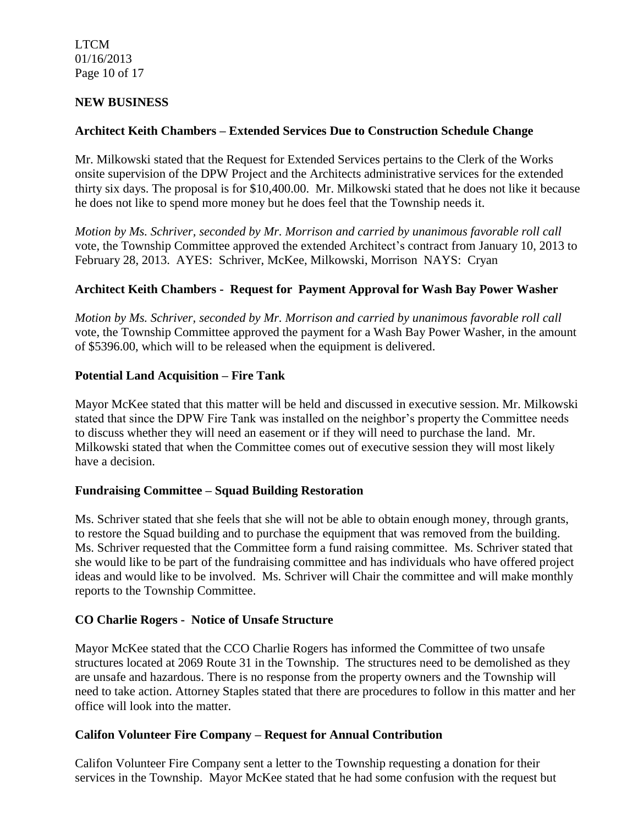LTCM 01/16/2013 Page 10 of 17

## **NEW BUSINESS**

## **Architect Keith Chambers – Extended Services Due to Construction Schedule Change**

Mr. Milkowski stated that the Request for Extended Services pertains to the Clerk of the Works onsite supervision of the DPW Project and the Architects administrative services for the extended thirty six days. The proposal is for \$10,400.00. Mr. Milkowski stated that he does not like it because he does not like to spend more money but he does feel that the Township needs it.

*Motion by Ms. Schriver, seconded by Mr. Morrison and carried by unanimous favorable roll call*  vote, the Township Committee approved the extended Architect's contract from January 10, 2013 to February 28, 2013. AYES: Schriver, McKee, Milkowski, Morrison NAYS: Cryan

## **Architect Keith Chambers - Request for Payment Approval for Wash Bay Power Washer**

*Motion by Ms. Schriver, seconded by Mr. Morrison and carried by unanimous favorable roll call*  vote, the Township Committee approved the payment for a Wash Bay Power Washer, in the amount of \$5396.00, which will to be released when the equipment is delivered.

### **Potential Land Acquisition – Fire Tank**

Mayor McKee stated that this matter will be held and discussed in executive session. Mr. Milkowski stated that since the DPW Fire Tank was installed on the neighbor's property the Committee needs to discuss whether they will need an easement or if they will need to purchase the land. Mr. Milkowski stated that when the Committee comes out of executive session they will most likely have a decision.

### **Fundraising Committee – Squad Building Restoration**

Ms. Schriver stated that she feels that she will not be able to obtain enough money, through grants, to restore the Squad building and to purchase the equipment that was removed from the building. Ms. Schriver requested that the Committee form a fund raising committee. Ms. Schriver stated that she would like to be part of the fundraising committee and has individuals who have offered project ideas and would like to be involved. Ms. Schriver will Chair the committee and will make monthly reports to the Township Committee.

### **CO Charlie Rogers - Notice of Unsafe Structure**

Mayor McKee stated that the CCO Charlie Rogers has informed the Committee of two unsafe structures located at 2069 Route 31 in the Township. The structures need to be demolished as they are unsafe and hazardous. There is no response from the property owners and the Township will need to take action. Attorney Staples stated that there are procedures to follow in this matter and her office will look into the matter.

### **Califon Volunteer Fire Company – Request for Annual Contribution**

Califon Volunteer Fire Company sent a letter to the Township requesting a donation for their services in the Township. Mayor McKee stated that he had some confusion with the request but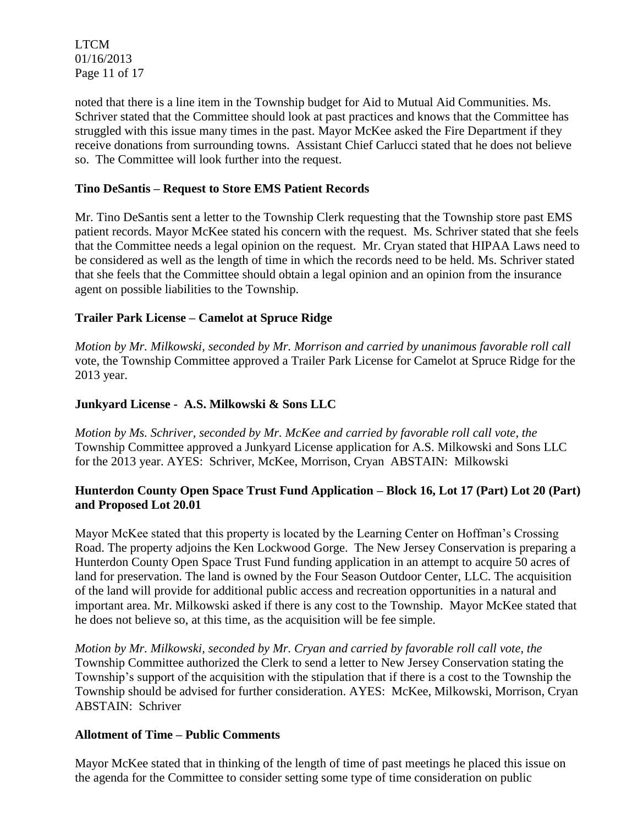LTCM 01/16/2013 Page 11 of 17

noted that there is a line item in the Township budget for Aid to Mutual Aid Communities. Ms. Schriver stated that the Committee should look at past practices and knows that the Committee has struggled with this issue many times in the past. Mayor McKee asked the Fire Department if they receive donations from surrounding towns. Assistant Chief Carlucci stated that he does not believe so. The Committee will look further into the request.

# **Tino DeSantis – Request to Store EMS Patient Records**

Mr. Tino DeSantis sent a letter to the Township Clerk requesting that the Township store past EMS patient records. Mayor McKee stated his concern with the request. Ms. Schriver stated that she feels that the Committee needs a legal opinion on the request. Mr. Cryan stated that HIPAA Laws need to be considered as well as the length of time in which the records need to be held. Ms. Schriver stated that she feels that the Committee should obtain a legal opinion and an opinion from the insurance agent on possible liabilities to the Township.

# **Trailer Park License – Camelot at Spruce Ridge**

*Motion by Mr. Milkowski, seconded by Mr. Morrison and carried by unanimous favorable roll call*  vote, the Township Committee approved a Trailer Park License for Camelot at Spruce Ridge for the 2013 year.

# **Junkyard License - A.S. Milkowski & Sons LLC**

*Motion by Ms. Schriver, seconded by Mr. McKee and carried by favorable roll call vote, the* Township Committee approved a Junkyard License application for A.S. Milkowski and Sons LLC for the 2013 year. AYES: Schriver, McKee, Morrison, Cryan ABSTAIN: Milkowski

# **Hunterdon County Open Space Trust Fund Application – Block 16, Lot 17 (Part) Lot 20 (Part) and Proposed Lot 20.01**

Mayor McKee stated that this property is located by the Learning Center on Hoffman's Crossing Road. The property adjoins the Ken Lockwood Gorge. The New Jersey Conservation is preparing a Hunterdon County Open Space Trust Fund funding application in an attempt to acquire 50 acres of land for preservation. The land is owned by the Four Season Outdoor Center, LLC. The acquisition of the land will provide for additional public access and recreation opportunities in a natural and important area. Mr. Milkowski asked if there is any cost to the Township. Mayor McKee stated that he does not believe so, at this time, as the acquisition will be fee simple.

*Motion by Mr. Milkowski, seconded by Mr. Cryan and carried by favorable roll call vote, the* Township Committee authorized the Clerk to send a letter to New Jersey Conservation stating the Township's support of the acquisition with the stipulation that if there is a cost to the Township the Township should be advised for further consideration. AYES: McKee, Milkowski, Morrison, Cryan ABSTAIN: Schriver

# **Allotment of Time – Public Comments**

Mayor McKee stated that in thinking of the length of time of past meetings he placed this issue on the agenda for the Committee to consider setting some type of time consideration on public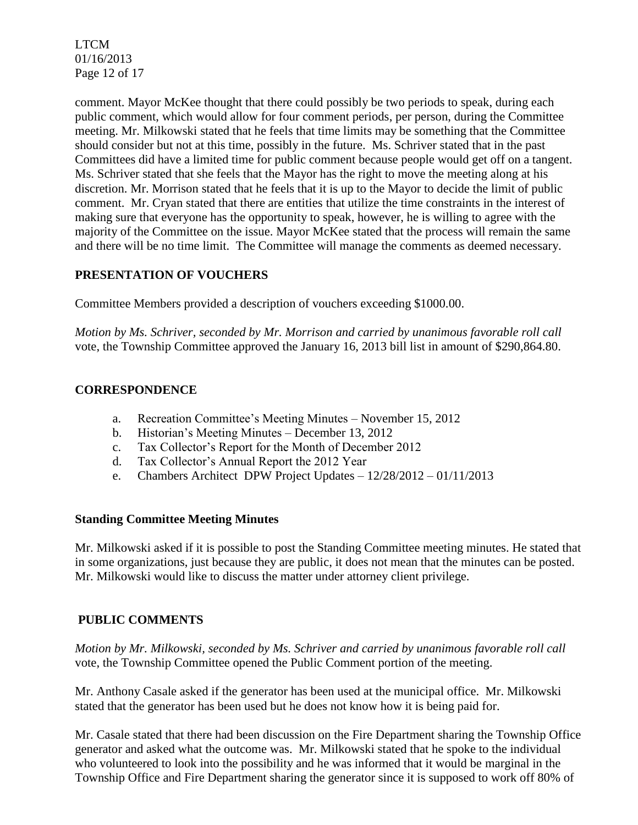LTCM 01/16/2013 Page 12 of 17

comment. Mayor McKee thought that there could possibly be two periods to speak, during each public comment, which would allow for four comment periods, per person, during the Committee meeting. Mr. Milkowski stated that he feels that time limits may be something that the Committee should consider but not at this time, possibly in the future. Ms. Schriver stated that in the past Committees did have a limited time for public comment because people would get off on a tangent. Ms. Schriver stated that she feels that the Mayor has the right to move the meeting along at his discretion. Mr. Morrison stated that he feels that it is up to the Mayor to decide the limit of public comment. Mr. Cryan stated that there are entities that utilize the time constraints in the interest of making sure that everyone has the opportunity to speak, however, he is willing to agree with the majority of the Committee on the issue. Mayor McKee stated that the process will remain the same and there will be no time limit. The Committee will manage the comments as deemed necessary.

# **PRESENTATION OF VOUCHERS**

Committee Members provided a description of vouchers exceeding \$1000.00.

*Motion by Ms. Schriver, seconded by Mr. Morrison and carried by unanimous favorable roll call*  vote, the Township Committee approved the January 16, 2013 bill list in amount of \$290,864.80.

# **CORRESPONDENCE**

- a. Recreation Committee's Meeting Minutes November 15, 2012
- b. Historian's Meeting Minutes December 13, 2012
- c. Tax Collector's Report for the Month of December 2012
- d. Tax Collector's Annual Report the 2012 Year
- e. Chambers Architect DPW Project Updates 12/28/2012 01/11/2013

### **Standing Committee Meeting Minutes**

Mr. Milkowski asked if it is possible to post the Standing Committee meeting minutes. He stated that in some organizations, just because they are public, it does not mean that the minutes can be posted. Mr. Milkowski would like to discuss the matter under attorney client privilege.

# **PUBLIC COMMENTS**

*Motion by Mr. Milkowski, seconded by Ms. Schriver and carried by unanimous favorable roll call*  vote, the Township Committee opened the Public Comment portion of the meeting.

Mr. Anthony Casale asked if the generator has been used at the municipal office. Mr. Milkowski stated that the generator has been used but he does not know how it is being paid for.

Mr. Casale stated that there had been discussion on the Fire Department sharing the Township Office generator and asked what the outcome was. Mr. Milkowski stated that he spoke to the individual who volunteered to look into the possibility and he was informed that it would be marginal in the Township Office and Fire Department sharing the generator since it is supposed to work off 80% of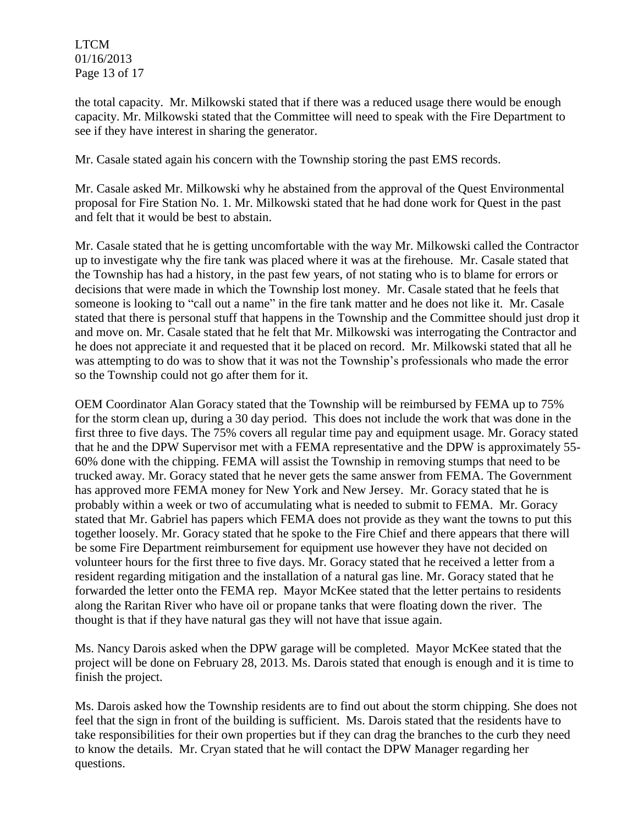LTCM 01/16/2013 Page 13 of 17

the total capacity. Mr. Milkowski stated that if there was a reduced usage there would be enough capacity. Mr. Milkowski stated that the Committee will need to speak with the Fire Department to see if they have interest in sharing the generator.

Mr. Casale stated again his concern with the Township storing the past EMS records.

Mr. Casale asked Mr. Milkowski why he abstained from the approval of the Quest Environmental proposal for Fire Station No. 1. Mr. Milkowski stated that he had done work for Quest in the past and felt that it would be best to abstain.

Mr. Casale stated that he is getting uncomfortable with the way Mr. Milkowski called the Contractor up to investigate why the fire tank was placed where it was at the firehouse. Mr. Casale stated that the Township has had a history, in the past few years, of not stating who is to blame for errors or decisions that were made in which the Township lost money. Mr. Casale stated that he feels that someone is looking to "call out a name" in the fire tank matter and he does not like it. Mr. Casale stated that there is personal stuff that happens in the Township and the Committee should just drop it and move on. Mr. Casale stated that he felt that Mr. Milkowski was interrogating the Contractor and he does not appreciate it and requested that it be placed on record. Mr. Milkowski stated that all he was attempting to do was to show that it was not the Township's professionals who made the error so the Township could not go after them for it.

OEM Coordinator Alan Goracy stated that the Township will be reimbursed by FEMA up to 75% for the storm clean up, during a 30 day period. This does not include the work that was done in the first three to five days. The 75% covers all regular time pay and equipment usage. Mr. Goracy stated that he and the DPW Supervisor met with a FEMA representative and the DPW is approximately 55- 60% done with the chipping. FEMA will assist the Township in removing stumps that need to be trucked away. Mr. Goracy stated that he never gets the same answer from FEMA. The Government has approved more FEMA money for New York and New Jersey. Mr. Goracy stated that he is probably within a week or two of accumulating what is needed to submit to FEMA. Mr. Goracy stated that Mr. Gabriel has papers which FEMA does not provide as they want the towns to put this together loosely. Mr. Goracy stated that he spoke to the Fire Chief and there appears that there will be some Fire Department reimbursement for equipment use however they have not decided on volunteer hours for the first three to five days. Mr. Goracy stated that he received a letter from a resident regarding mitigation and the installation of a natural gas line. Mr. Goracy stated that he forwarded the letter onto the FEMA rep. Mayor McKee stated that the letter pertains to residents along the Raritan River who have oil or propane tanks that were floating down the river. The thought is that if they have natural gas they will not have that issue again.

Ms. Nancy Darois asked when the DPW garage will be completed. Mayor McKee stated that the project will be done on February 28, 2013. Ms. Darois stated that enough is enough and it is time to finish the project.

Ms. Darois asked how the Township residents are to find out about the storm chipping. She does not feel that the sign in front of the building is sufficient. Ms. Darois stated that the residents have to take responsibilities for their own properties but if they can drag the branches to the curb they need to know the details. Mr. Cryan stated that he will contact the DPW Manager regarding her questions.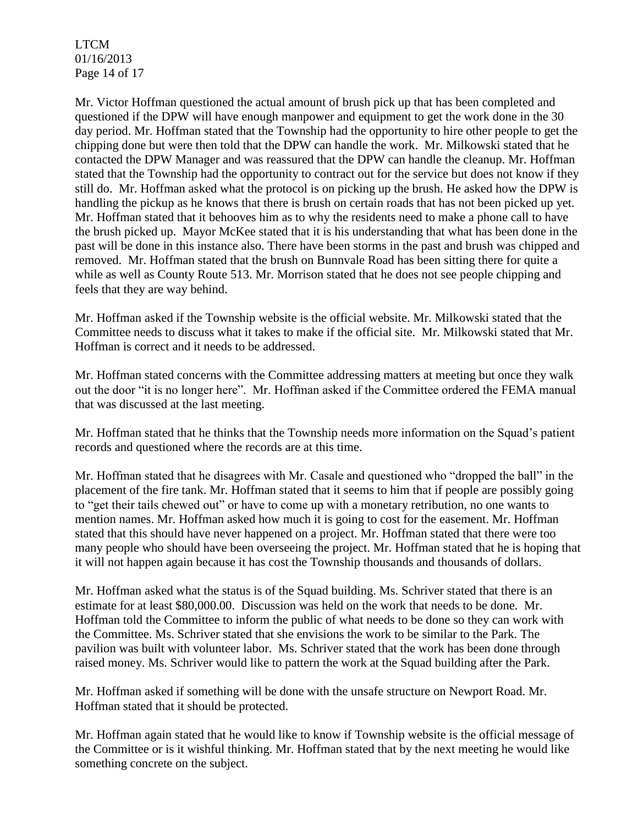LTCM 01/16/2013 Page 14 of 17

Mr. Victor Hoffman questioned the actual amount of brush pick up that has been completed and questioned if the DPW will have enough manpower and equipment to get the work done in the 30 day period. Mr. Hoffman stated that the Township had the opportunity to hire other people to get the chipping done but were then told that the DPW can handle the work. Mr. Milkowski stated that he contacted the DPW Manager and was reassured that the DPW can handle the cleanup. Mr. Hoffman stated that the Township had the opportunity to contract out for the service but does not know if they still do. Mr. Hoffman asked what the protocol is on picking up the brush. He asked how the DPW is handling the pickup as he knows that there is brush on certain roads that has not been picked up yet. Mr. Hoffman stated that it behooves him as to why the residents need to make a phone call to have the brush picked up. Mayor McKee stated that it is his understanding that what has been done in the past will be done in this instance also. There have been storms in the past and brush was chipped and removed. Mr. Hoffman stated that the brush on Bunnvale Road has been sitting there for quite a while as well as County Route 513. Mr. Morrison stated that he does not see people chipping and feels that they are way behind.

Mr. Hoffman asked if the Township website is the official website. Mr. Milkowski stated that the Committee needs to discuss what it takes to make if the official site. Mr. Milkowski stated that Mr. Hoffman is correct and it needs to be addressed.

Mr. Hoffman stated concerns with the Committee addressing matters at meeting but once they walk out the door "it is no longer here". Mr. Hoffman asked if the Committee ordered the FEMA manual that was discussed at the last meeting.

Mr. Hoffman stated that he thinks that the Township needs more information on the Squad's patient records and questioned where the records are at this time.

Mr. Hoffman stated that he disagrees with Mr. Casale and questioned who "dropped the ball" in the placement of the fire tank. Mr. Hoffman stated that it seems to him that if people are possibly going to "get their tails chewed out" or have to come up with a monetary retribution, no one wants to mention names. Mr. Hoffman asked how much it is going to cost for the easement. Mr. Hoffman stated that this should have never happened on a project. Mr. Hoffman stated that there were too many people who should have been overseeing the project. Mr. Hoffman stated that he is hoping that it will not happen again because it has cost the Township thousands and thousands of dollars.

Mr. Hoffman asked what the status is of the Squad building. Ms. Schriver stated that there is an estimate for at least \$80,000.00. Discussion was held on the work that needs to be done. Mr. Hoffman told the Committee to inform the public of what needs to be done so they can work with the Committee. Ms. Schriver stated that she envisions the work to be similar to the Park. The pavilion was built with volunteer labor. Ms. Schriver stated that the work has been done through raised money. Ms. Schriver would like to pattern the work at the Squad building after the Park.

Mr. Hoffman asked if something will be done with the unsafe structure on Newport Road. Mr. Hoffman stated that it should be protected.

Mr. Hoffman again stated that he would like to know if Township website is the official message of the Committee or is it wishful thinking. Mr. Hoffman stated that by the next meeting he would like something concrete on the subject.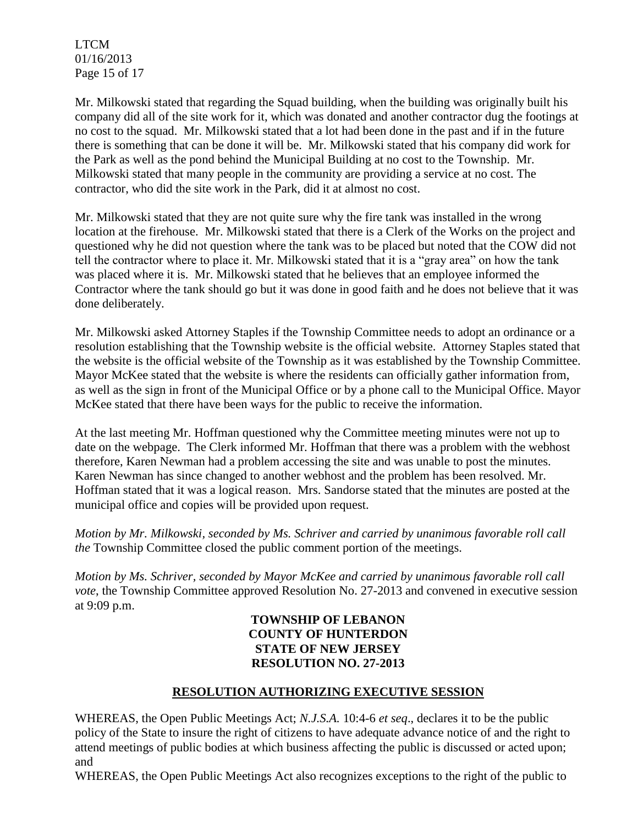LTCM 01/16/2013 Page 15 of 17

Mr. Milkowski stated that regarding the Squad building, when the building was originally built his company did all of the site work for it, which was donated and another contractor dug the footings at no cost to the squad. Mr. Milkowski stated that a lot had been done in the past and if in the future there is something that can be done it will be. Mr. Milkowski stated that his company did work for the Park as well as the pond behind the Municipal Building at no cost to the Township. Mr. Milkowski stated that many people in the community are providing a service at no cost. The contractor, who did the site work in the Park, did it at almost no cost.

Mr. Milkowski stated that they are not quite sure why the fire tank was installed in the wrong location at the firehouse. Mr. Milkowski stated that there is a Clerk of the Works on the project and questioned why he did not question where the tank was to be placed but noted that the COW did not tell the contractor where to place it. Mr. Milkowski stated that it is a "gray area" on how the tank was placed where it is. Mr. Milkowski stated that he believes that an employee informed the Contractor where the tank should go but it was done in good faith and he does not believe that it was done deliberately.

Mr. Milkowski asked Attorney Staples if the Township Committee needs to adopt an ordinance or a resolution establishing that the Township website is the official website. Attorney Staples stated that the website is the official website of the Township as it was established by the Township Committee. Mayor McKee stated that the website is where the residents can officially gather information from, as well as the sign in front of the Municipal Office or by a phone call to the Municipal Office. Mayor McKee stated that there have been ways for the public to receive the information.

At the last meeting Mr. Hoffman questioned why the Committee meeting minutes were not up to date on the webpage. The Clerk informed Mr. Hoffman that there was a problem with the webhost therefore, Karen Newman had a problem accessing the site and was unable to post the minutes. Karen Newman has since changed to another webhost and the problem has been resolved. Mr. Hoffman stated that it was a logical reason. Mrs. Sandorse stated that the minutes are posted at the municipal office and copies will be provided upon request.

*Motion by Mr. Milkowski, seconded by Ms. Schriver and carried by unanimous favorable roll call the* Township Committee closed the public comment portion of the meetings.

*Motion by Ms. Schriver, seconded by Mayor McKee and carried by unanimous favorable roll call vote*, the Township Committee approved Resolution No. 27-2013 and convened in executive session at 9:09 p.m.

## **TOWNSHIP OF LEBANON COUNTY OF HUNTERDON STATE OF NEW JERSEY RESOLUTION NO. 27-2013**

# **RESOLUTION AUTHORIZING EXECUTIVE SESSION**

WHEREAS, the Open Public Meetings Act; *N.J.S.A.* 10:4-6 *et seq*., declares it to be the public policy of the State to insure the right of citizens to have adequate advance notice of and the right to attend meetings of public bodies at which business affecting the public is discussed or acted upon; and

WHEREAS, the Open Public Meetings Act also recognizes exceptions to the right of the public to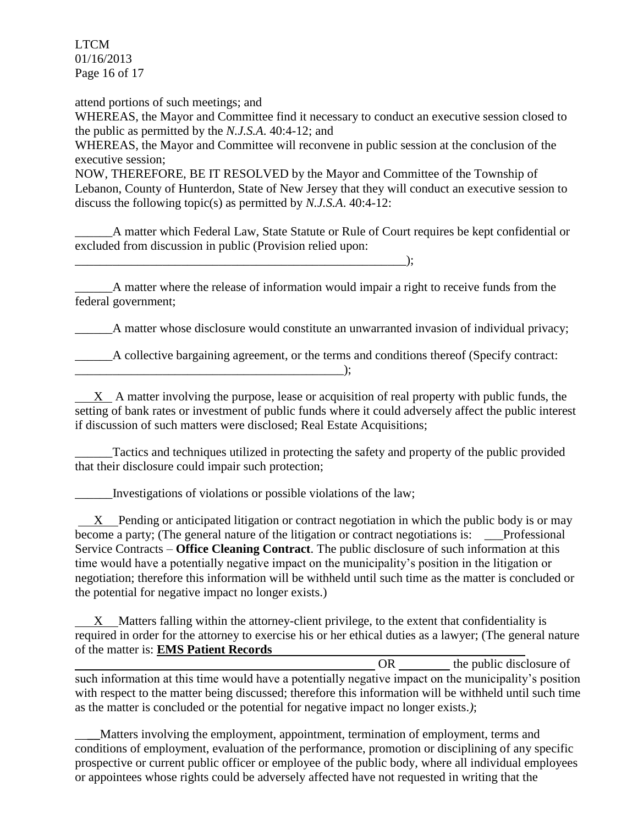LTCM 01/16/2013 Page 16 of 17

attend portions of such meetings; and WHEREAS, the Mayor and Committee find it necessary to conduct an executive session closed to the public as permitted by the *N.J.S.A*. 40:4-12; and WHEREAS, the Mayor and Committee will reconvene in public session at the conclusion of the executive session; NOW, THEREFORE, BE IT RESOLVED by the Mayor and Committee of the Township of Lebanon, County of Hunterdon, State of New Jersey that they will conduct an executive session to discuss the following topic(s) as permitted by *N.J.S.A*. 40:4-12:

\_\_\_\_\_\_A matter which Federal Law, State Statute or Rule of Court requires be kept confidential or excluded from discussion in public (Provision relied upon:

\_\_\_\_\_\_A matter where the release of information would impair a right to receive funds from the federal government;

\_\_\_\_\_\_A matter whose disclosure would constitute an unwarranted invasion of individual privacy;

\_\_\_\_\_\_A collective bargaining agreement, or the terms and conditions thereof (Specify contract: \_\_\_\_\_\_\_\_\_\_\_\_\_\_\_\_\_\_\_\_\_\_\_\_\_\_\_\_\_\_\_\_\_\_\_\_\_\_\_\_\_\_\_);

 X A matter involving the purpose, lease or acquisition of real property with public funds, the setting of bank rates or investment of public funds where it could adversely affect the public interest if discussion of such matters were disclosed; Real Estate Acquisitions;

\_\_\_\_\_\_Tactics and techniques utilized in protecting the safety and property of the public provided that their disclosure could impair such protection;

Investigations of violations or possible violations of the law;

 $\qquad \qquad$ );

X Pending or anticipated litigation or contract negotiation in which the public body is or may become a party; (The general nature of the litigation or contract negotiations is: \_\_\_Professional Service Contracts – **Office Cleaning Contract**. The public disclosure of such information at this time would have a potentially negative impact on the municipality's position in the litigation or negotiation; therefore this information will be withheld until such time as the matter is concluded or the potential for negative impact no longer exists.)

 X Matters falling within the attorney-client privilege, to the extent that confidentiality is required in order for the attorney to exercise his or her ethical duties as a lawyer; (The general nature of the matter is: **EMS Patient Records**

OR the public disclosure of such information at this time would have a potentially negative impact on the municipality's position with respect to the matter being discussed; therefore this information will be withheld until such time as the matter is concluded or the potential for negative impact no longer exists.*)*;

\_\_**\_\_**Matters involving the employment, appointment, termination of employment, terms and conditions of employment, evaluation of the performance, promotion or disciplining of any specific prospective or current public officer or employee of the public body, where all individual employees or appointees whose rights could be adversely affected have not requested in writing that the